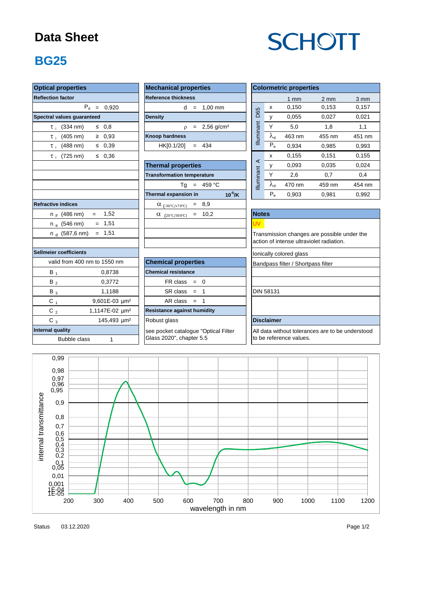#### **Data Sheet**

# **SCHOTT**

### **BG25**

| <b>Optical properties</b>            | <b>Mechanical properties</b>                 |            | <b>Colormetric properties</b>                    |                         |                                             |        |  |
|--------------------------------------|----------------------------------------------|------------|--------------------------------------------------|-------------------------|---------------------------------------------|--------|--|
| <b>Reflection factor</b>             | <b>Reference thickness</b>                   |            |                                                  | $1$ mm                  | $2 \, \text{mm}$                            | 3 mm   |  |
| $P_d = 0,920$                        | $d = 1.00$ mm                                |            | x                                                | 0,150                   | 0.153                                       | 0,157  |  |
| Spectral values guaranteed           | <b>Density</b>                               | <b>D65</b> | y                                                | 0,055                   | 0,027                                       | 0,021  |  |
| $\leq 0.8$<br>$\tau_i$ (334 nm)      | $\rho = 2,56 \text{ g/cm}^3$                 | Illuminant | Y                                                | 5,0                     | 1,8                                         | 1,1    |  |
| $\tau_i$ (405 nm)<br>$\geq 0.93$     | <b>Knoop hardness</b>                        |            | $\lambda_{\rm d}$                                | 463 nm                  | 455 nm                                      | 451 nm |  |
| $\tau_i$ (488 nm)<br>$\leq 0.39$     | HK[0.1/20]<br>$= 434$                        |            | $P_e$                                            | 0,934                   | 0,985                                       | 0.993  |  |
| $\leq 0,36$<br>$\tau_i$ (725 nm)     |                                              |            | X                                                | 0.155                   | 0,151                                       | 0,155  |  |
|                                      | <b>Thermal properties</b>                    | $\prec$    | y                                                | 0,093                   | 0,035                                       | 0,024  |  |
|                                      | <b>Transformation temperature</b>            |            | Y                                                | 2,6                     | 0,7                                         | 0,4    |  |
|                                      | $Tg = 459 °C$                                | Illuminant | $\lambda_{\sf d}$                                | 470 nm                  | 459 nm                                      | 454 nm |  |
|                                      | Thermal expansion in<br>$10^{-6}$ /K         |            | $P_e$                                            | 0,903                   | 0,981                                       | 0,992  |  |
| <b>Refractive indices</b>            | $\alpha_{(-30^{\circ}C/+70^{\circ}C)} = 8.9$ |            |                                                  |                         |                                             |        |  |
| 1,52<br>$n_F$ (486 nm)               | $\alpha$ (20°C/300°C) = 10,2                 |            | <b>Notes</b>                                     |                         |                                             |        |  |
| $n_e$ (546 nm)<br>$= 1,51$           |                                              | <b>UV</b>  |                                                  |                         |                                             |        |  |
| $= 1,51$<br>n $_{\rm d}$ (587,6 nm)  |                                              |            |                                                  |                         | Transmission changes are possible under the |        |  |
|                                      |                                              |            |                                                  |                         | action of intense ultraviolet radiation.    |        |  |
| Sellmeier coefficients               |                                              |            |                                                  | lonically colored glass |                                             |        |  |
| valid from 400 nm to 1550 nm         | <b>Chemical properties</b>                   |            | Bandpass filter / Shortpass filter               |                         |                                             |        |  |
| $B_1$<br>0,8738                      | <b>Chemical resistance</b>                   |            |                                                  |                         |                                             |        |  |
| $B_2$<br>0,3772                      | $FR \text{ class } = 0$                      |            |                                                  |                         |                                             |        |  |
| $B_3$<br>1,1188                      | $SR class = 1$                               |            | <b>DIN 58131</b>                                 |                         |                                             |        |  |
| $C_1$<br>9,601E-03 µm <sup>2</sup>   | $AR class = 1$                               |            |                                                  |                         |                                             |        |  |
| C $_2$<br>1,1147E-02 um <sup>2</sup> | <b>Resistance against humidity</b>           |            |                                                  |                         |                                             |        |  |
| $C_3$<br>145,493 µm <sup>2</sup>     | Robust glass                                 |            | <b>Disclaimer</b>                                |                         |                                             |        |  |
| Internal quality                     | see pocket catalogue "Optical Filter         |            | All data without tolerances are to be understood |                         |                                             |        |  |
| <b>Bubble class</b><br>$\mathbf{1}$  | Glass 2020", chapter 5.5                     |            | to be reference values.                          |                         |                                             |        |  |



Status Page 1/2 03.12.2020